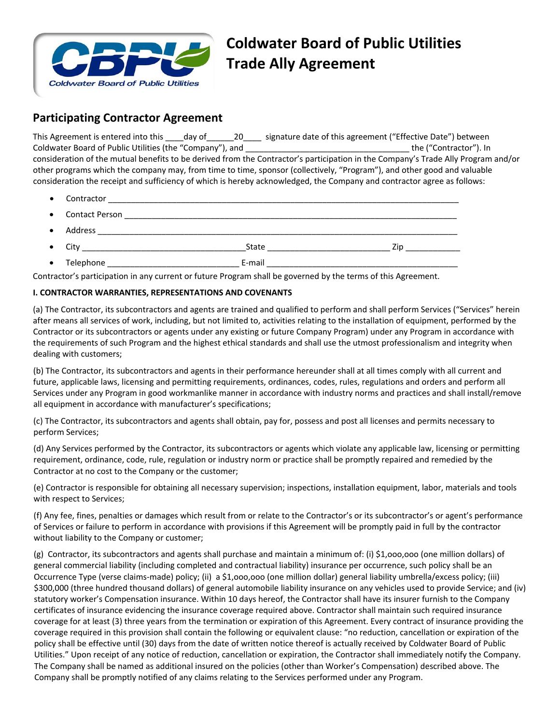

# **Coldwater Board of Public Utilities Trade Ally Agreement**

## **Participating Contractor Agreement**

This Agreement is entered into this day of 20 signature date of this agreement ("Effective Date") between Coldwater Board of Public Utilities (the "Company"), and \_\_\_\_\_\_\_\_\_\_\_\_\_\_\_\_\_\_\_\_\_\_\_\_\_\_\_\_\_\_\_\_\_\_\_\_ the ("Contractor"). In consideration of the mutual benefits to be derived from the Contractor's participation in the Company's Trade Ally Program and/or other programs which the company may, from time to time, sponsor (collectively, "Program"), and other good and valuable consideration the receipt and sufficiency of which is hereby acknowledged, the Company and contractor agree as follows:

- Contractor \_\_\_\_\_\_\_\_\_\_\_\_\_\_\_\_\_\_\_\_\_\_\_\_\_\_\_\_\_\_\_\_\_\_\_\_\_\_\_\_\_\_\_\_\_\_\_\_\_\_\_\_\_\_\_\_\_\_\_\_\_\_\_\_\_\_\_\_\_\_\_\_\_\_\_\_\_
- Contact Person \_\_\_\_\_\_\_\_\_\_\_\_\_\_\_\_\_\_\_\_\_\_\_\_\_\_\_\_\_\_\_\_\_\_\_\_\_\_\_\_\_\_\_\_\_\_\_\_\_\_\_\_\_\_\_\_\_\_\_\_\_\_\_\_\_\_\_\_\_\_\_\_\_
- $\bullet$  Address  $\bullet$
- City \_\_\_\_\_\_\_\_\_\_\_\_\_\_\_\_\_\_\_\_\_\_\_\_\_\_\_\_\_\_\_\_\_\_\_\_State \_\_\_\_\_\_\_\_\_\_\_\_\_\_\_\_\_\_\_\_\_\_\_\_\_\_\_ Zip \_\_\_\_\_\_\_\_\_\_\_\_
- Telephone \_\_\_\_\_\_\_\_\_\_\_\_\_\_\_\_\_\_\_\_\_\_\_\_\_\_\_\_\_ E‐mail \_\_\_\_\_\_\_\_\_\_\_\_\_\_\_\_\_\_\_\_\_\_\_\_\_\_\_\_\_\_\_\_\_\_\_\_\_\_\_\_\_\_

Contractor's participation in any current or future Program shall be governed by the terms of this Agreement.

### **I. CONTRACTOR WARRANTIES, REPRESENTATIONS AND COVENANTS**

(a) The Contractor, its subcontractors and agents are trained and qualified to perform and shall perform Services ("Services" herein after means all services of work, including, but not limited to, activities relating to the installation of equipment, performed by the Contractor or its subcontractors or agents under any existing or future Company Program) under any Program in accordance with the requirements of such Program and the highest ethical standards and shall use the utmost professionalism and integrity when dealing with customers;

(b) The Contractor, its subcontractors and agents in their performance hereunder shall at all times comply with all current and future, applicable laws, licensing and permitting requirements, ordinances, codes, rules, regulations and orders and perform all Services under any Program in good workmanlike manner in accordance with industry norms and practices and shall install/remove all equipment in accordance with manufacturer's specifications;

(c) The Contractor, its subcontractors and agents shall obtain, pay for, possess and post all licenses and permits necessary to perform Services;

(d) Any Services performed by the Contractor, its subcontractors or agents which violate any applicable law, licensing or permitting requirement, ordinance, code, rule, regulation or industry norm or practice shall be promptly repaired and remedied by the Contractor at no cost to the Company or the customer;

(e) Contractor is responsible for obtaining all necessary supervision; inspections, installation equipment, labor, materials and tools with respect to Services;

(f) Any fee, fines, penalties or damages which result from or relate to the Contractor's or its subcontractor's or agent's performance of Services or failure to perform in accordance with provisions if this Agreement will be promptly paid in full by the contractor without liability to the Company or customer;

(g) Contractor, its subcontractors and agents shall purchase and maintain a minimum of: (i) \$1,ooo,ooo (one million dollars) of general commercial liability (including completed and contractual liability) insurance per occurrence, such policy shall be an Occurrence Type (verse claims‐made) policy; (ii) a \$1,ooo,ooo (one million dollar) general liability umbrella/excess policy; (iii) \$300,000 (three hundred thousand dollars) of general automobile liability insurance on any vehicles used to provide Service; and (iv) statutory worker's Compensation insurance. Within 10 days hereof, the Contractor shall have its insurer furnish to the Company certificates of insurance evidencing the insurance coverage required above. Contractor shall maintain such required insurance coverage for at least (3) three years from the termination or expiration of this Agreement. Every contract of insurance providing the coverage required in this provision shall contain the following or equivalent clause: "no reduction, cancellation or expiration of the policy shall be effective until (30) days from the date of written notice thereof is actually received by Coldwater Board of Public Utilities." Upon receipt of any notice of reduction, cancellation or expiration, the Contractor shall immediately notify the Company. The Company shall be named as additional insured on the policies (other than Worker's Compensation) described above. The Company shall be promptly notified of any claims relating to the Services performed under any Program.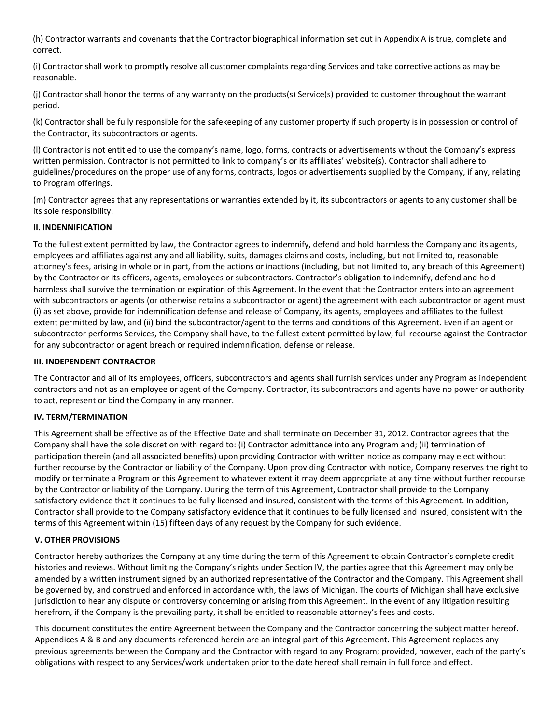(h) Contractor warrants and covenants that the Contractor biographical information set out in Appendix A is true, complete and correct.

(i) Contractor shall work to promptly resolve all customer complaints regarding Services and take corrective actions as may be reasonable.

(j) Contractor shall honor the terms of any warranty on the products(s) Service(s) provided to customer throughout the warrant period.

(k) Contractor shall be fully responsible for the safekeeping of any customer property if such property is in possession or control of the Contractor, its subcontractors or agents.

(l) Contractor is not entitled to use the company's name, logo, forms, contracts or advertisements without the Company's express written permission. Contractor is not permitted to link to company's or its affiliates' website(s). Contractor shall adhere to guidelines/procedures on the proper use of any forms, contracts, logos or advertisements supplied by the Company, if any, relating to Program offerings.

(m) Contractor agrees that any representations or warranties extended by it, its subcontractors or agents to any customer shall be its sole responsibility.

#### **II. INDENNIFICATION**

To the fullest extent permitted by law, the Contractor agrees to indemnify, defend and hold harmless the Company and its agents, employees and affiliates against any and all liability, suits, damages claims and costs, including, but not limited to, reasonable attorney's fees, arising in whole or in part, from the actions or inactions (including, but not limited to, any breach of this Agreement) by the Contractor or its officers, agents, employees or subcontractors. Contractor's obligation to indemnify, defend and hold harmless shall survive the termination or expiration of this Agreement. In the event that the Contractor enters into an agreement with subcontractors or agents (or otherwise retains a subcontractor or agent) the agreement with each subcontractor or agent must (i) as set above, provide for indemnification defense and release of Company, its agents, employees and affiliates to the fullest extent permitted by law, and (ii) bind the subcontractor/agent to the terms and conditions of this Agreement. Even if an agent or subcontractor performs Services, the Company shall have, to the fullest extent permitted by law, full recourse against the Contractor for any subcontractor or agent breach or required indemnification, defense or release.

#### **III. INDEPENDENT CONTRACTOR**

The Contractor and all of its employees, officers, subcontractors and agents shall furnish services under any Program as independent contractors and not as an employee or agent of the Company. Contractor, its subcontractors and agents have no power or authority to act, represent or bind the Company in any manner.

#### **IV. TERM/TERMINATION**

This Agreement shall be effective as of the Effective Date and shall terminate on December 31, 2012. Contractor agrees that the Company shall have the sole discretion with regard to: (i) Contractor admittance into any Program and; (ii) termination of participation therein (and all associated benefits) upon providing Contractor with written notice as company may elect without further recourse by the Contractor or liability of the Company. Upon providing Contractor with notice, Company reserves the right to modify or terminate a Program or this Agreement to whatever extent it may deem appropriate at any time without further recourse by the Contractor or liability of the Company. During the term of this Agreement, Contractor shall provide to the Company satisfactory evidence that it continues to be fully licensed and insured, consistent with the terms of this Agreement. In addition, Contractor shall provide to the Company satisfactory evidence that it continues to be fully licensed and insured, consistent with the terms of this Agreement within (15) fifteen days of any request by the Company for such evidence.

#### **V. OTHER PROVISIONS**

Contractor hereby authorizes the Company at any time during the term of this Agreement to obtain Contractor's complete credit histories and reviews. Without limiting the Company's rights under Section IV, the parties agree that this Agreement may only be amended by a written instrument signed by an authorized representative of the Contractor and the Company. This Agreement shall be governed by, and construed and enforced in accordance with, the laws of Michigan. The courts of Michigan shall have exclusive jurisdiction to hear any dispute or controversy concerning or arising from this Agreement. In the event of any litigation resulting herefrom, if the Company is the prevailing party, it shall be entitled to reasonable attorney's fees and costs.

This document constitutes the entire Agreement between the Company and the Contractor concerning the subject matter hereof. Appendices A & B and any documents referenced herein are an integral part of this Agreement. This Agreement replaces any previous agreements between the Company and the Contractor with regard to any Program; provided, however, each of the party's obligations with respect to any Services/work undertaken prior to the date hereof shall remain in full force and effect.